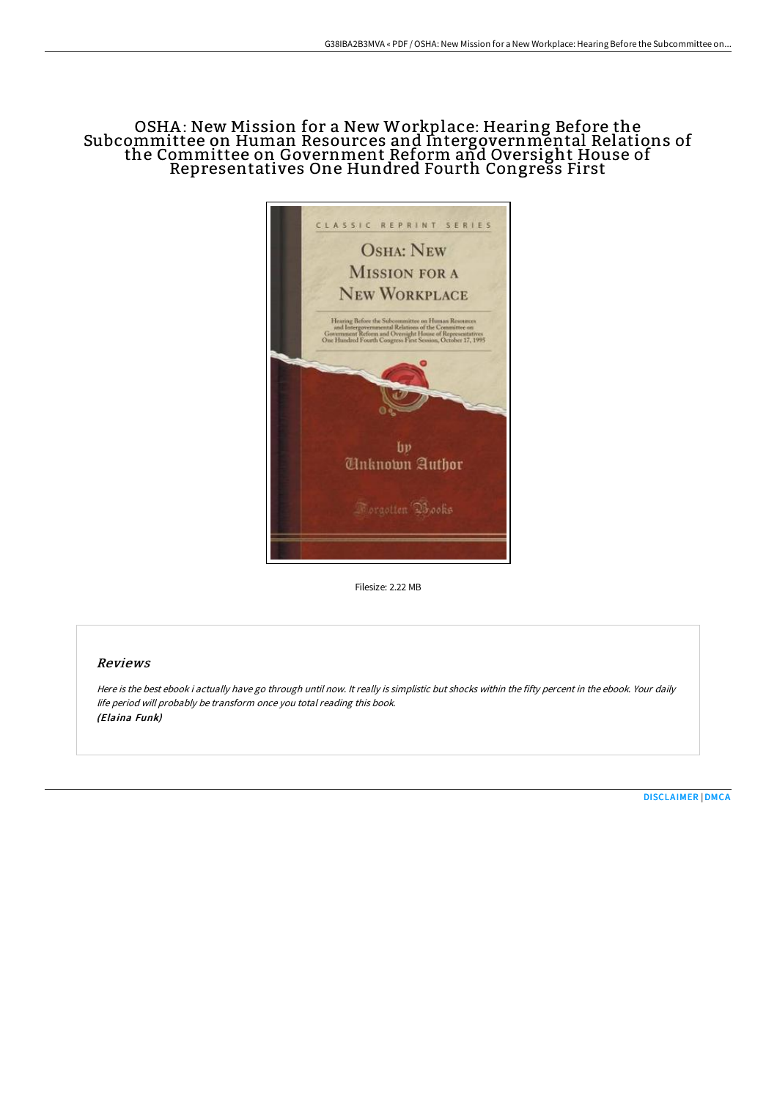# OSHA: New Mission for a New Workplace: Hearing Before the Subcommittee on Human Resources and Intergovernmental Relations of the Committee on Government Reform and Oversight House of Representatives One Hundred Fourth Congress First



Filesize: 2.22 MB

# Reviews

Here is the best ebook i actually have go through until now. It really is simplistic but shocks within the fifty percent in the ebook. Your daily life period will probably be transform once you total reading this book. (Elaina Funk)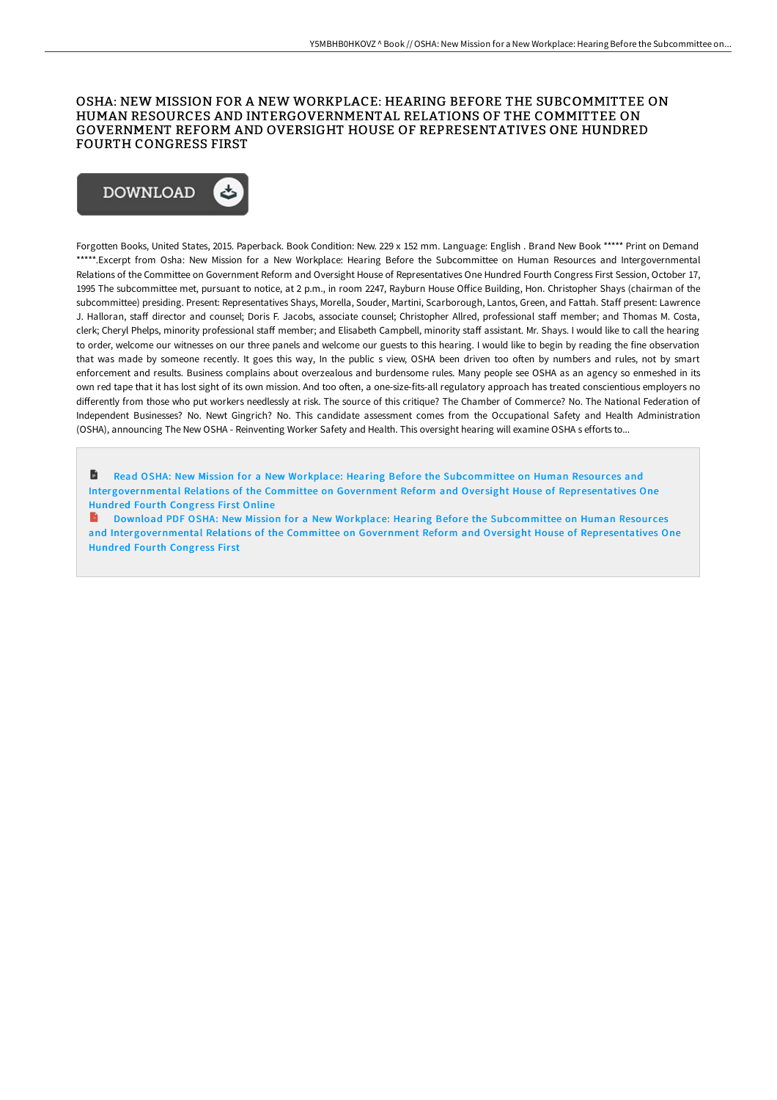## OSHA: NEW MISSION FOR A NEW WORKPLACE: HEARING BEFORE THE SUBCOMMITTEE ON HUMAN RESOURCES AND INTERGOVERNMENTAL RELATIONS OF THE COMMITTEE ON GOVERNMENT REFORM AND OVERSIGHT HOUSE OF REPRESENTATIVES ONE HUNDRED FOURTH CONGRESS FIRST



Forgotten Books, United States, 2015. Paperback. Book Condition: New. 229 x 152 mm. Language: English . Brand New Book \*\*\*\*\* Print on Demand \*\*\*\*\*.Excerpt from Osha: New Mission for a New Workplace: Hearing Before the Subcommittee on Human Resources and Intergovernmental Relations of the Committee on Government Reform and Oversight House of Representatives One Hundred Fourth Congress First Session, October 17, 1995 The subcommittee met, pursuant to notice, at 2 p.m., in room 2247, Rayburn House Office Building, Hon. Christopher Shays (chairman of the subcommittee) presiding. Present: Representatives Shays, Morella, Souder, Martini, Scarborough, Lantos, Green, and Fattah. Staff present: Lawrence J. Halloran, staff director and counsel; Doris F. Jacobs, associate counsel; Christopher Allred, professional staff member; and Thomas M. Costa, clerk; Cheryl Phelps, minority professional staff member; and Elisabeth Campbell, minority staff assistant. Mr. Shays. I would like to call the hearing to order, welcome our witnesses on our three panels and welcome our guests to this hearing. I would like to begin by reading the fine observation that was made by someone recently. It goes this way, In the public s view, OSHA been driven too often by numbers and rules, not by smart enforcement and results. Business complains about overzealous and burdensome rules. Many people see OSHA as an agency so enmeshed in its own red tape that it has lost sight of its own mission. And too often, a one-size-fits-all regulatory approach has treated conscientious employers no differently from those who put workers needlessly at risk. The source of this critique? The Chamber of Commerce? No. The National Federation of Independent Businesses? No. Newt Gingrich? No. This candidate assessment comes from the Occupational Safety and Health Administration (OSHA), announcing The New OSHA - Reinventing Worker Safety and Health. This oversight hearing will examine OSHA s efforts to...

B Read OSHA: New Mission for a New Workplace: Hearing Before the Subcommittee on Human Resources and [Intergovernmental](http://techno-pub.tech/osha-new-mission-for-a-new-workplace-hearing-bef.html) Relations of the Committee on Government Reform and Oversight House of Representatives One Hundred Fourth Congress First Online

B Download PDF OSHA: New Mission for a New Workplace: Hearing Before the Subcommittee on Human Resour ces and [Intergovernmental](http://techno-pub.tech/osha-new-mission-for-a-new-workplace-hearing-bef.html) Relations of the Committee on Government Reform and Oversight House of Representatives One **Hundred Fourth Congress First**